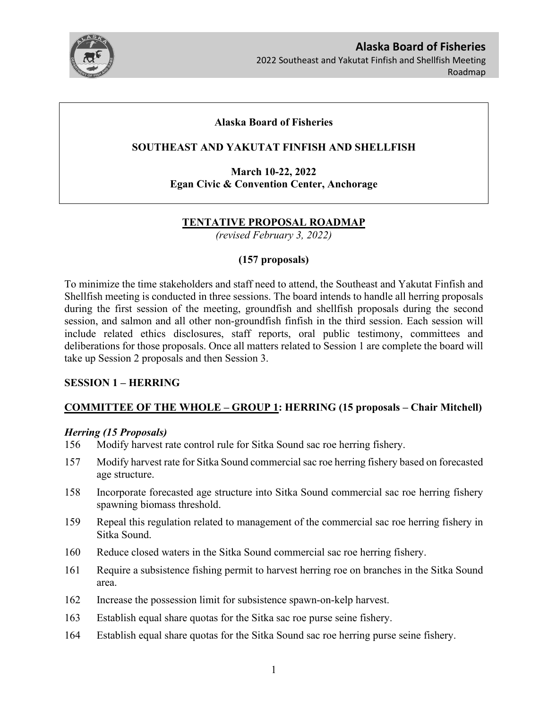

**Alaska Board of Fisheries**  2022 Southeast and Yakutat Finfish and Shellfish Meeting Roadmap

## **Alaska Board of Fisheries**

## **SOUTHEAST AND YAKUTAT FINFISH AND SHELLFISH**

**March 10-22, 2022 Egan Civic & Convention Center, Anchorage**

## **TENTATIVE PROPOSAL ROADMAP**

*(revised February 3, 2022)*

## **(157 proposals)**

To minimize the time stakeholders and staff need to attend, the Southeast and Yakutat Finfish and Shellfish meeting is conducted in three sessions. The board intends to handle all herring proposals during the first session of the meeting, groundfish and shellfish proposals during the second session, and salmon and all other non-groundfish finfish in the third session. Each session will include related ethics disclosures, staff reports, oral public testimony, committees and deliberations for those proposals. Once all matters related to Session 1 are complete the board will take up Session 2 proposals and then Session 3.

### **SESSION 1 – HERRING**

# **COMMITTEE OF THE WHOLE – GROUP 1: HERRING (15 proposals – Chair Mitchell)**

### *Herring (15 Proposals)*

- 156 Modify harvest rate control rule for Sitka Sound sac roe herring fishery.
- 157 Modify harvest rate for Sitka Sound commercial sac roe herring fishery based on forecasted age structure.
- 158 Incorporate forecasted age structure into Sitka Sound commercial sac roe herring fishery spawning biomass threshold.
- 159 Repeal this regulation related to management of the commercial sac roe herring fishery in Sitka Sound.
- 160 Reduce closed waters in the Sitka Sound commercial sac roe herring fishery.
- 161 Require a subsistence fishing permit to harvest herring roe on branches in the Sitka Sound area.
- 162 Increase the possession limit for subsistence spawn-on-kelp harvest.
- 163 Establish equal share quotas for the Sitka sac roe purse seine fishery.
- 164 Establish equal share quotas for the Sitka Sound sac roe herring purse seine fishery.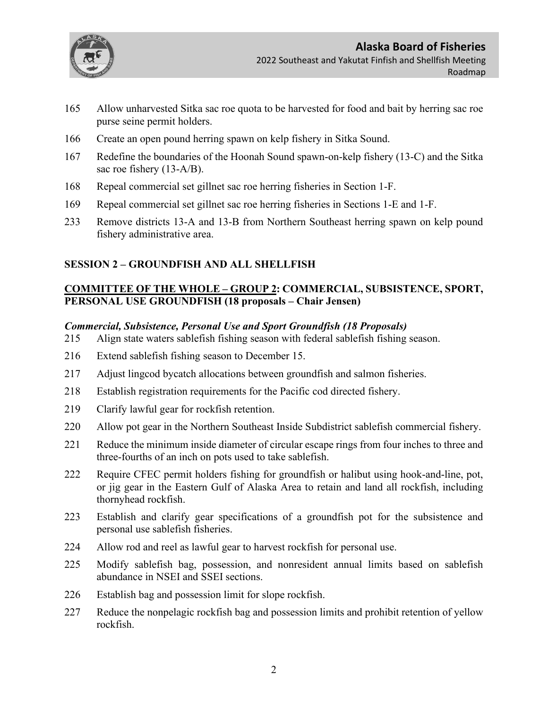

- 165 Allow unharvested Sitka sac roe quota to be harvested for food and bait by herring sac roe purse seine permit holders.
- 166 Create an open pound herring spawn on kelp fishery in Sitka Sound.
- 167 Redefine the boundaries of the Hoonah Sound spawn-on-kelp fishery (13-C) and the Sitka sac roe fishery (13-A/B).
- 168 Repeal commercial set gillnet sac roe herring fisheries in Section 1-F.
- 169 Repeal commercial set gillnet sac roe herring fisheries in Sections 1-E and 1-F.
- 233 Remove districts 13-A and 13-B from Northern Southeast herring spawn on kelp pound fishery administrative area.

## **SESSION 2 – GROUNDFISH AND ALL SHELLFISH**

# **COMMITTEE OF THE WHOLE – GROUP 2: COMMERCIAL, SUBSISTENCE, SPORT, PERSONAL USE GROUNDFISH (18 proposals – Chair Jensen)**

### *Commercial, Subsistence, Personal Use and Sport Groundfish (18 Proposals)*

- 215 Align state waters sablefish fishing season with federal sablefish fishing season.
- 216 Extend sablefish fishing season to December 15.
- 217 Adjust lingcod bycatch allocations between groundfish and salmon fisheries.
- 218 Establish registration requirements for the Pacific cod directed fishery.
- 219 Clarify lawful gear for rockfish retention.
- 220 Allow pot gear in the Northern Southeast Inside Subdistrict sablefish commercial fishery.
- 221 Reduce the minimum inside diameter of circular escape rings from four inches to three and three-fourths of an inch on pots used to take sablefish.
- 222 Require CFEC permit holders fishing for groundfish or halibut using hook-and-line, pot, or jig gear in the Eastern Gulf of Alaska Area to retain and land all rockfish, including thornyhead rockfish.
- 223 Establish and clarify gear specifications of a groundfish pot for the subsistence and personal use sablefish fisheries.
- 224 Allow rod and reel as lawful gear to harvest rockfish for personal use.
- 225 Modify sablefish bag, possession, and nonresident annual limits based on sablefish abundance in NSEI and SSEI sections.
- 226 Establish bag and possession limit for slope rockfish.
- 227 Reduce the nonpelagic rockfish bag and possession limits and prohibit retention of yellow rockfish.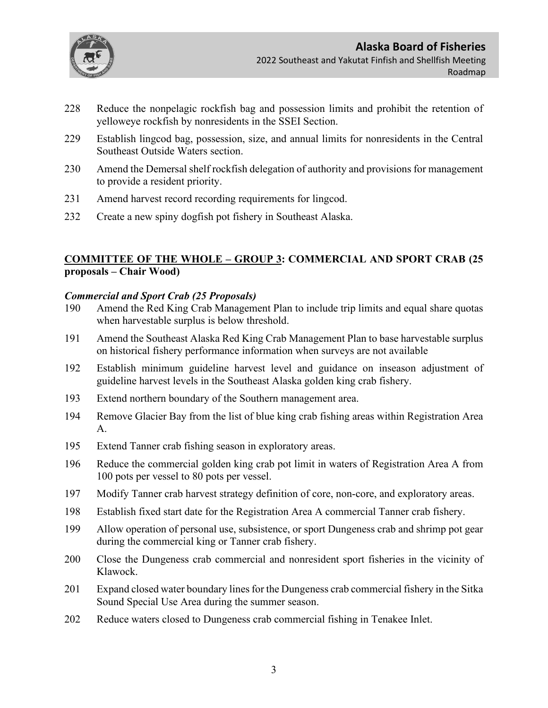

- 228 Reduce the nonpelagic rockfish bag and possession limits and prohibit the retention of yelloweye rockfish by nonresidents in the SSEI Section.
- 229 Establish lingcod bag, possession, size, and annual limits for nonresidents in the Central Southeast Outside Waters section.
- 230 Amend the Demersal shelf rockfish delegation of authority and provisions for management to provide a resident priority.
- 231 Amend harvest record recording requirements for lingcod.
- 232 Create a new spiny dogfish pot fishery in Southeast Alaska.

# **COMMITTEE OF THE WHOLE – GROUP 3: COMMERCIAL AND SPORT CRAB (25 proposals – Chair Wood)**

### *Commercial and Sport Crab (25 Proposals)*

- 190 Amend the Red King Crab Management Plan to include trip limits and equal share quotas when harvestable surplus is below threshold.
- 191 Amend the Southeast Alaska Red King Crab Management Plan to base harvestable surplus on historical fishery performance information when surveys are not available
- 192 Establish minimum guideline harvest level and guidance on inseason adjustment of guideline harvest levels in the Southeast Alaska golden king crab fishery.
- 193 Extend northern boundary of the Southern management area.
- 194 Remove Glacier Bay from the list of blue king crab fishing areas within Registration Area A.
- 195 Extend Tanner crab fishing season in exploratory areas.
- 196 Reduce the commercial golden king crab pot limit in waters of Registration Area A from 100 pots per vessel to 80 pots per vessel.
- 197 Modify Tanner crab harvest strategy definition of core, non-core, and exploratory areas.
- 198 Establish fixed start date for the Registration Area A commercial Tanner crab fishery.
- 199 Allow operation of personal use, subsistence, or sport Dungeness crab and shrimp pot gear during the commercial king or Tanner crab fishery.
- 200 Close the Dungeness crab commercial and nonresident sport fisheries in the vicinity of Klawock.
- 201 Expand closed water boundary lines for the Dungeness crab commercial fishery in the Sitka Sound Special Use Area during the summer season.
- 202 Reduce waters closed to Dungeness crab commercial fishing in Tenakee Inlet.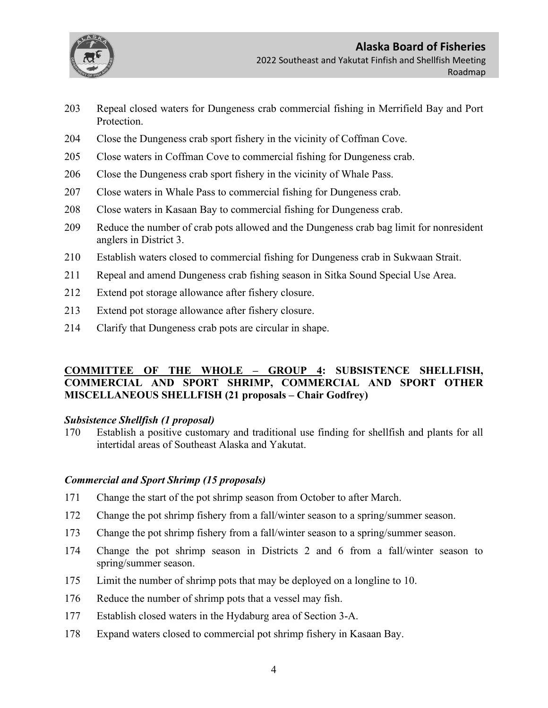

- Repeal closed waters for Dungeness crab commercial fishing in Merrifield Bay and Port Protection.
- Close the Dungeness crab sport fishery in the vicinity of Coffman Cove.
- Close waters in Coffman Cove to commercial fishing for Dungeness crab.
- Close the Dungeness crab sport fishery in the vicinity of Whale Pass.
- Close waters in Whale Pass to commercial fishing for Dungeness crab.
- Close waters in Kasaan Bay to commercial fishing for Dungeness crab.
- Reduce the number of crab pots allowed and the Dungeness crab bag limit for nonresident anglers in District 3.
- Establish waters closed to commercial fishing for Dungeness crab in Sukwaan Strait.
- Repeal and amend Dungeness crab fishing season in Sitka Sound Special Use Area.
- Extend pot storage allowance after fishery closure.
- Extend pot storage allowance after fishery closure.
- Clarify that Dungeness crab pots are circular in shape.

## **COMMITTEE OF THE WHOLE – GROUP 4: SUBSISTENCE SHELLFISH, COMMERCIAL AND SPORT SHRIMP, COMMERCIAL AND SPORT OTHER MISCELLANEOUS SHELLFISH (21 proposals – Chair Godfrey)**

### *Subsistence Shellfish (1 proposal)*

 Establish a positive customary and traditional use finding for shellfish and plants for all intertidal areas of Southeast Alaska and Yakutat.

## *Commercial and Sport Shrimp (15 proposals)*

- Change the start of the pot shrimp season from October to after March.
- Change the pot shrimp fishery from a fall/winter season to a spring/summer season.
- Change the pot shrimp fishery from a fall/winter season to a spring/summer season.
- Change the pot shrimp season in Districts 2 and 6 from a fall/winter season to spring/summer season.
- Limit the number of shrimp pots that may be deployed on a longline to 10.
- Reduce the number of shrimp pots that a vessel may fish.
- Establish closed waters in the Hydaburg area of Section 3-A.
- Expand waters closed to commercial pot shrimp fishery in Kasaan Bay.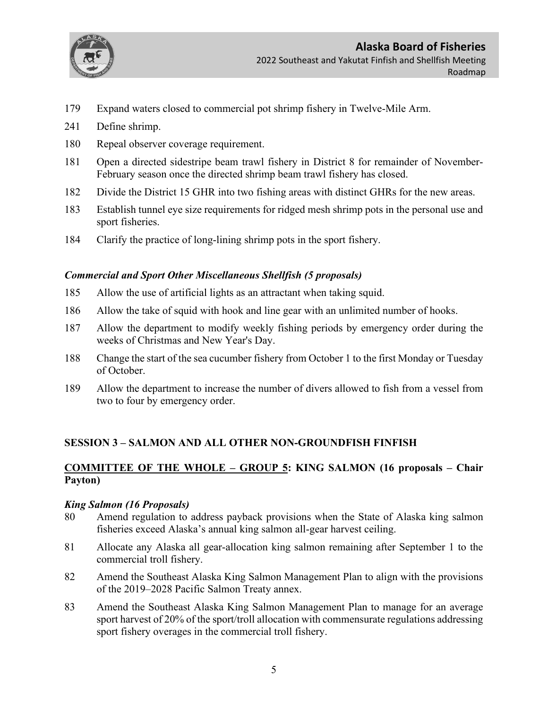

- 179 Expand waters closed to commercial pot shrimp fishery in Twelve-Mile Arm.
- 241 Define shrimp.
- 180 Repeal observer coverage requirement.
- 181 Open a directed sidestripe beam trawl fishery in District 8 for remainder of November-February season once the directed shrimp beam trawl fishery has closed.
- 182 Divide the District 15 GHR into two fishing areas with distinct GHRs for the new areas.
- 183 Establish tunnel eye size requirements for ridged mesh shrimp pots in the personal use and sport fisheries.
- 184 Clarify the practice of long-lining shrimp pots in the sport fishery.

## *Commercial and Sport Other Miscellaneous Shellfish (5 proposals)*

- 185 Allow the use of artificial lights as an attractant when taking squid.
- 186 Allow the take of squid with hook and line gear with an unlimited number of hooks.
- 187 Allow the department to modify weekly fishing periods by emergency order during the weeks of Christmas and New Year's Day.
- 188 Change the start of the sea cucumber fishery from October 1 to the first Monday or Tuesday of October.
- 189 Allow the department to increase the number of divers allowed to fish from a vessel from two to four by emergency order.

## **SESSION 3 – SALMON AND ALL OTHER NON-GROUNDFISH FINFISH**

# **COMMITTEE OF THE WHOLE – GROUP 5: KING SALMON (16 proposals – Chair Payton)**

### *King Salmon (16 Proposals)*

- 80 Amend regulation to address payback provisions when the State of Alaska king salmon fisheries exceed Alaska's annual king salmon all-gear harvest ceiling.
- 81 Allocate any Alaska all gear-allocation king salmon remaining after September 1 to the commercial troll fishery.
- 82 Amend the Southeast Alaska King Salmon Management Plan to align with the provisions of the 2019–2028 Pacific Salmon Treaty annex.
- 83 Amend the Southeast Alaska King Salmon Management Plan to manage for an average sport harvest of 20% of the sport/troll allocation with commensurate regulations addressing sport fishery overages in the commercial troll fishery.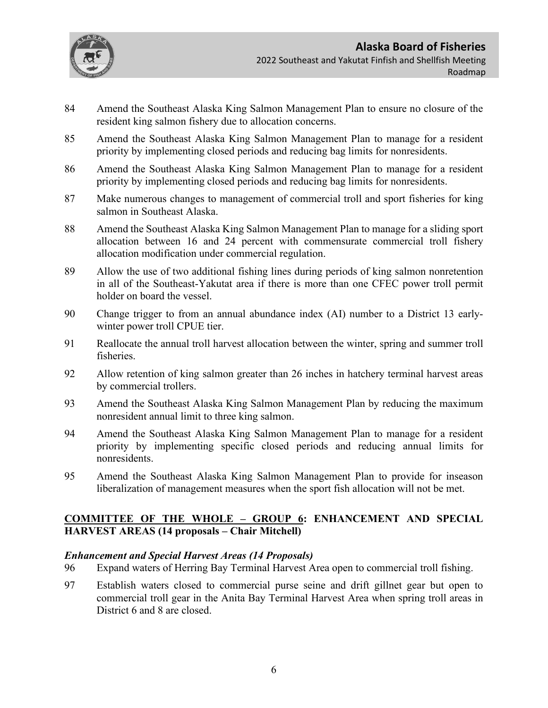

- 84 Amend the Southeast Alaska King Salmon Management Plan to ensure no closure of the resident king salmon fishery due to allocation concerns.
- 85 Amend the Southeast Alaska King Salmon Management Plan to manage for a resident priority by implementing closed periods and reducing bag limits for nonresidents.
- 86 Amend the Southeast Alaska King Salmon Management Plan to manage for a resident priority by implementing closed periods and reducing bag limits for nonresidents.
- 87 Make numerous changes to management of commercial troll and sport fisheries for king salmon in Southeast Alaska.
- 88 Amend the Southeast Alaska King Salmon Management Plan to manage for a sliding sport allocation between 16 and 24 percent with commensurate commercial troll fishery allocation modification under commercial regulation.
- 89 Allow the use of two additional fishing lines during periods of king salmon nonretention in all of the Southeast-Yakutat area if there is more than one CFEC power troll permit holder on board the vessel.
- 90 Change trigger to from an annual abundance index (AI) number to a District 13 earlywinter power troll CPUE tier.
- 91 Reallocate the annual troll harvest allocation between the winter, spring and summer troll fisheries.
- 92 Allow retention of king salmon greater than 26 inches in hatchery terminal harvest areas by commercial trollers.
- 93 Amend the Southeast Alaska King Salmon Management Plan by reducing the maximum nonresident annual limit to three king salmon.
- 94 Amend the Southeast Alaska King Salmon Management Plan to manage for a resident priority by implementing specific closed periods and reducing annual limits for nonresidents.
- 95 Amend the Southeast Alaska King Salmon Management Plan to provide for inseason liberalization of management measures when the sport fish allocation will not be met.

## **COMMITTEE OF THE WHOLE – GROUP 6: ENHANCEMENT AND SPECIAL HARVEST AREAS (14 proposals – Chair Mitchell)**

### *Enhancement and Special Harvest Areas (14 Proposals)*

- 96 Expand waters of Herring Bay Terminal Harvest Area open to commercial troll fishing.
- 97 Establish waters closed to commercial purse seine and drift gillnet gear but open to commercial troll gear in the Anita Bay Terminal Harvest Area when spring troll areas in District 6 and 8 are closed.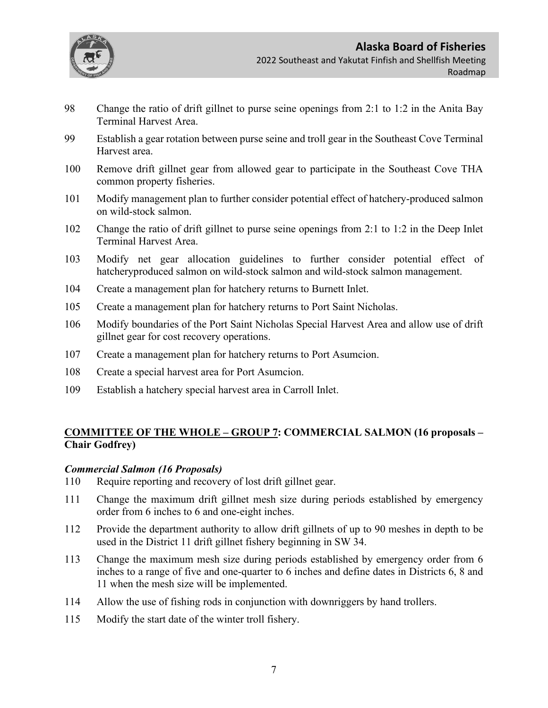

- 98 Change the ratio of drift gillnet to purse seine openings from 2:1 to 1:2 in the Anita Bay Terminal Harvest Area.
- 99 Establish a gear rotation between purse seine and troll gear in the Southeast Cove Terminal Harvest area.
- 100 Remove drift gillnet gear from allowed gear to participate in the Southeast Cove THA common property fisheries.
- 101 Modify management plan to further consider potential effect of hatchery-produced salmon on wild-stock salmon.
- 102 Change the ratio of drift gillnet to purse seine openings from 2:1 to 1:2 in the Deep Inlet Terminal Harvest Area.
- 103 Modify net gear allocation guidelines to further consider potential effect of hatcheryproduced salmon on wild-stock salmon and wild-stock salmon management.
- 104 Create a management plan for hatchery returns to Burnett Inlet.
- 105 Create a management plan for hatchery returns to Port Saint Nicholas.
- 106 Modify boundaries of the Port Saint Nicholas Special Harvest Area and allow use of drift gillnet gear for cost recovery operations.
- 107 Create a management plan for hatchery returns to Port Asumcion.
- 108 Create a special harvest area for Port Asumcion.
- 109 Establish a hatchery special harvest area in Carroll Inlet.

# **COMMITTEE OF THE WHOLE – GROUP 7: COMMERCIAL SALMON (16 proposals – Chair Godfrey)**

### *Commercial Salmon (16 Proposals)*

- 110 Require reporting and recovery of lost drift gillnet gear.
- 111 Change the maximum drift gillnet mesh size during periods established by emergency order from 6 inches to 6 and one-eight inches.
- 112 Provide the department authority to allow drift gillnets of up to 90 meshes in depth to be used in the District 11 drift gillnet fishery beginning in SW 34.
- 113 Change the maximum mesh size during periods established by emergency order from 6 inches to a range of five and one-quarter to 6 inches and define dates in Districts 6, 8 and 11 when the mesh size will be implemented.
- 114 Allow the use of fishing rods in conjunction with downriggers by hand trollers.
- 115 Modify the start date of the winter troll fishery.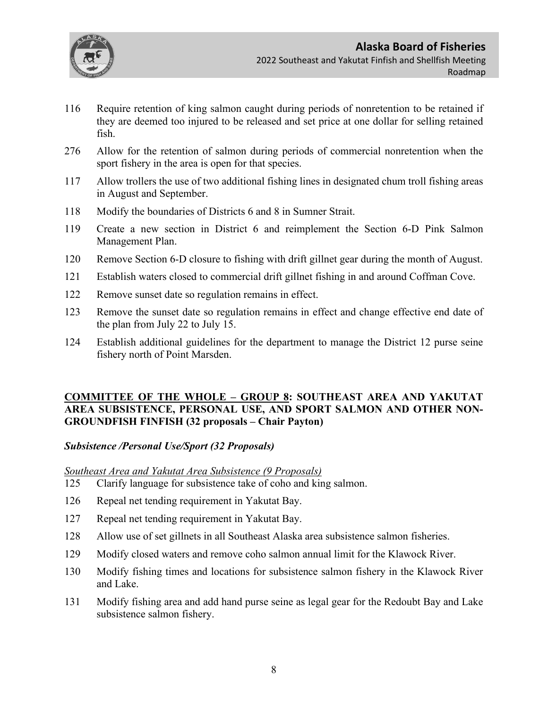

- 116 Require retention of king salmon caught during periods of nonretention to be retained if they are deemed too injured to be released and set price at one dollar for selling retained fish.
- 276 Allow for the retention of salmon during periods of commercial nonretention when the sport fishery in the area is open for that species.
- 117 Allow trollers the use of two additional fishing lines in designated chum troll fishing areas in August and September.
- 118 Modify the boundaries of Districts 6 and 8 in Sumner Strait.
- 119 Create a new section in District 6 and reimplement the Section 6-D Pink Salmon Management Plan.
- 120 Remove Section 6-D closure to fishing with drift gillnet gear during the month of August.
- 121 Establish waters closed to commercial drift gillnet fishing in and around Coffman Cove.
- 122 Remove sunset date so regulation remains in effect.
- 123 Remove the sunset date so regulation remains in effect and change effective end date of the plan from July 22 to July 15.
- 124 Establish additional guidelines for the department to manage the District 12 purse seine fishery north of Point Marsden.

## **COMMITTEE OF THE WHOLE – GROUP 8: SOUTHEAST AREA AND YAKUTAT AREA SUBSISTENCE, PERSONAL USE, AND SPORT SALMON AND OTHER NON-GROUNDFISH FINFISH (32 proposals – Chair Payton)**

### *Subsistence /Personal Use/Sport (32 Proposals)*

### *Southeast Area and Yakutat Area Subsistence (9 Proposals)*

- 125 Clarify language for subsistence take of coho and king salmon.
- 126 Repeal net tending requirement in Yakutat Bay.
- 127 Repeal net tending requirement in Yakutat Bay.
- 128 Allow use of set gillnets in all Southeast Alaska area subsistence salmon fisheries.
- 129 Modify closed waters and remove coho salmon annual limit for the Klawock River.
- 130 Modify fishing times and locations for subsistence salmon fishery in the Klawock River and Lake.
- 131 Modify fishing area and add hand purse seine as legal gear for the Redoubt Bay and Lake subsistence salmon fishery.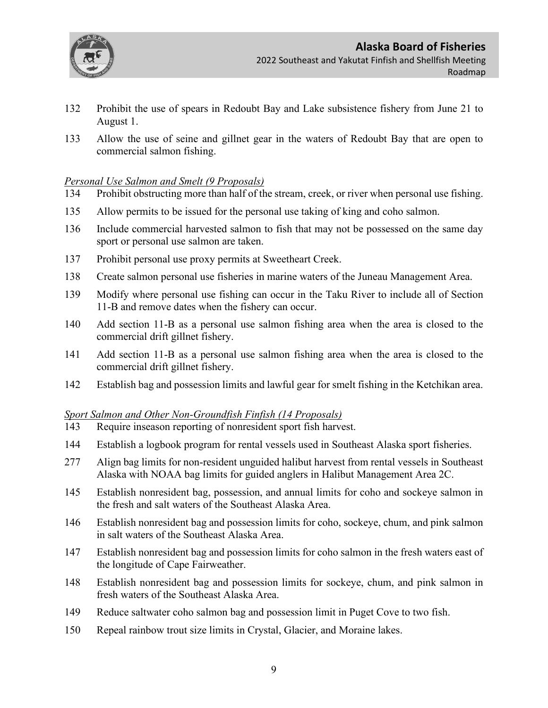

- 132 Prohibit the use of spears in Redoubt Bay and Lake subsistence fishery from June 21 to August 1.
- 133 Allow the use of seine and gillnet gear in the waters of Redoubt Bay that are open to commercial salmon fishing.

## *Personal Use Salmon and Smelt (9 Proposals)*

- 134 Prohibit obstructing more than half of the stream, creek, or river when personal use fishing.
- 135 Allow permits to be issued for the personal use taking of king and coho salmon.
- 136 Include commercial harvested salmon to fish that may not be possessed on the same day sport or personal use salmon are taken.
- 137 Prohibit personal use proxy permits at Sweetheart Creek.
- 138 Create salmon personal use fisheries in marine waters of the Juneau Management Area.
- 139 Modify where personal use fishing can occur in the Taku River to include all of Section 11-B and remove dates when the fishery can occur.
- 140 Add section 11-B as a personal use salmon fishing area when the area is closed to the commercial drift gillnet fishery.
- 141 Add section 11-B as a personal use salmon fishing area when the area is closed to the commercial drift gillnet fishery.
- 142 Establish bag and possession limits and lawful gear for smelt fishing in the Ketchikan area.

### *Sport Salmon and Other Non-Groundfish Finfish (14 Proposals)*

- 143 Require inseason reporting of nonresident sport fish harvest.
- 144 Establish a logbook program for rental vessels used in Southeast Alaska sport fisheries.
- 277 Align bag limits for non-resident unguided halibut harvest from rental vessels in Southeast Alaska with NOAA bag limits for guided anglers in Halibut Management Area 2C.
- 145 Establish nonresident bag, possession, and annual limits for coho and sockeye salmon in the fresh and salt waters of the Southeast Alaska Area.
- 146 Establish nonresident bag and possession limits for coho, sockeye, chum, and pink salmon in salt waters of the Southeast Alaska Area.
- 147 Establish nonresident bag and possession limits for coho salmon in the fresh waters east of the longitude of Cape Fairweather.
- 148 Establish nonresident bag and possession limits for sockeye, chum, and pink salmon in fresh waters of the Southeast Alaska Area.
- 149 Reduce saltwater coho salmon bag and possession limit in Puget Cove to two fish.
- 150 Repeal rainbow trout size limits in Crystal, Glacier, and Moraine lakes.